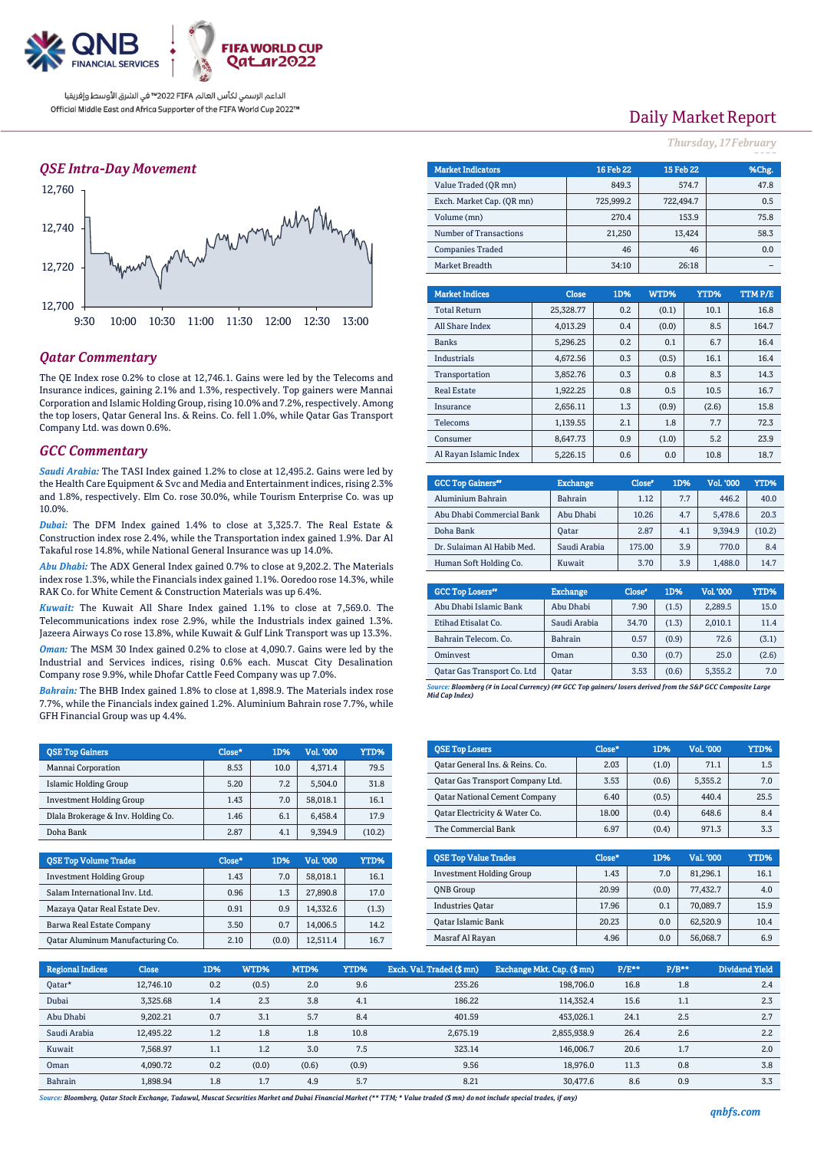

### *QSE Intra-Day Movement*



### *Qatar Commentary*

The QE Index rose 0.2% to close at 12,746.1. Gains were led by the Telecoms and Insurance indices, gaining 2.1% and 1.3%, respectively. Top gainers were Mannai Corporation and Islamic Holding Group, rising 10.0% and 7.2%, respectively. Among the top losers, Qatar General Ins. & Reins. Co. fell 1.0%, while Qatar Gas Transport Company Ltd. was down 0.6%.

#### *GCC Commentary*

*Saudi Arabia:* The TASI Index gained 1.2% to close at 12,495.2. Gains were led by the Health Care Equipment & Svc and Media and Entertainment indices, rising 2.3% and 1.8%, respectively. Elm Co. rose 30.0%, while Tourism Enterprise Co. was up 10.0%.

*Dubai:* The DFM Index gained 1.4% to close at 3,325.7. The Real Estate & Construction index rose 2.4%, while the Transportation index gained 1.9%. Dar Al Takaful rose 14.8%, while National General Insurance was up 14.0%.

*Abu Dhabi:* The ADX General Index gained 0.7% to close at 9,202.2. The Materials index rose 1.3%, while the Financials index gained 1.1%. Ooredoo rose 14.3%, while RAK Co. for White Cement & Construction Materials was up 6.4%.

*Kuwait:* The Kuwait All Share Index gained 1.1% to close at 7,569.0. The Telecommunications index rose 2.9%, while the Industrials index gained 1.3%. Jazeera Airways Co rose 13.8%, while Kuwait & Gulf Link Transport was up 13.3%. *Oman:* The MSM 30 Index gained 0.2% to close at 4,090.7. Gains were led by the Industrial and Services indices, rising 0.6% each. Muscat City Desalination Company rose 9.9%, while Dhofar Cattle Feed Company was up 7.0%.

*Bahrain:* The BHB Index gained 1.8% to close at 1,898.9. The Materials index rose 7.7%, while the Financials index gained 1.2%. Aluminium Bahrain rose 7.7%, while GFH Financial Group was up 4.4%.

| <b>QSE Top Gainers</b>             | Close* | 1D%  | Vol. '000 | YTD%   |
|------------------------------------|--------|------|-----------|--------|
| Mannai Corporation                 | 8.53   | 10.0 | 4.371.4   | 79.5   |
| Islamic Holding Group              | 5.20   | 7.2  | 5.504.0   | 31.8   |
| <b>Investment Holding Group</b>    | 1.43   | 7.0  | 58,018.1  | 16.1   |
| Dlala Brokerage & Inv. Holding Co. | 1.46   | 6.1  | 6.458.4   | 17.9   |
| Doha Bank                          | 2.87   | 4.1  | 9,394.9   | (10.2) |

| <b>QSE Top Volume Trades</b>     | Close* | 1D%   | Vol. '000 | YTD%  |
|----------------------------------|--------|-------|-----------|-------|
| <b>Investment Holding Group</b>  | 1.43   | 7.0   | 58.018.1  | 16.1  |
| Salam International Inv. Ltd.    | 0.96   | 1.3   | 27,890.8  | 17.0  |
| Mazaya Qatar Real Estate Dev.    | 0.91   | 0.9   | 14.332.6  | (1.3) |
| Barwa Real Estate Company        | 3.50   | 0.7   | 14.006.5  | 14.2  |
| Oatar Aluminum Manufacturing Co. | 2.10   | (0.0) | 12,511.4  | 16.7  |

# Daily Market Report

*Thursday, 17February*

| <b>Market Indicators</b>  |  |              | <b>16 Feb 22</b> | 15 Feb 22 |        |       | %Chg.  |
|---------------------------|--|--------------|------------------|-----------|--------|-------|--------|
| Value Traded (OR mn)      |  | 849.3        | 574.7            |           | 47.8   |       |        |
| Exch. Market Cap. (QR mn) |  | 725,999.2    |                  | 722,494.7 |        |       | 0.5    |
| Volume (mn)               |  |              | 270.4            |           | 153.9  |       | 75.8   |
| Number of Transactions    |  |              | 21,250           |           | 13,424 |       | 58.3   |
| <b>Companies Traded</b>   |  |              | 46               |           | 46     |       | 0.0    |
| Market Breadth            |  |              | 34:10            |           | 26:18  |       |        |
|                           |  |              |                  |           |        |       |        |
| <b>Market Indices</b>     |  | <b>Close</b> | 1D%              | WTD%      | YTD%   |       | TTMP/E |
| <b>Total Return</b>       |  | 25,328.77    | 0.2              | (0.1)     |        | 10.1  | 16.8   |
| All Share Index           |  | 4,013.29     | 0.4              | (0.0)     |        | 8.5   | 164.7  |
| <b>Banks</b>              |  | 5.296.25     | 0.2              | 0.1       |        | 6.7   | 16.4   |
| <b>Industrials</b>        |  | 4,672.56     | 0.3              | (0.5)     |        | 16.1  | 16.4   |
| Transportation            |  | 3,852.76     | 0.3              | 0.8       |        | 8.3   | 14.3   |
| <b>Real Estate</b>        |  | 1.922.25     | 0.8              | 0.5       |        | 10.5  | 16.7   |
| Insurance                 |  | 2.656.11     | 1.3              | (0.9)     |        | (2.6) | 15.8   |
| Telecoms                  |  | 1.139.55     | 2.1              | 1.8       |        | 7.7   | 72.3   |
| Consumer                  |  | 8.647.73     | 0.9              | (1.0)     |        | 5.2   | 23.9   |
| Al Rayan Islamic Index    |  | 5.226.15     | 0.6              | 0.0       |        | 10.8  | 18.7   |

| <b>GCC Top Gainers</b> "   | <b>Exchange</b> | Close* | 1D% | Vol. '000 | YTD%   |
|----------------------------|-----------------|--------|-----|-----------|--------|
| Aluminium Bahrain          | Bahrain         | 1.12   | 77  | 446.2     | 40.0   |
| Abu Dhabi Commercial Bank  | Abu Dhabi       | 10.26  | 4.7 | 5,478.6   | 20.3   |
| Doha Bank                  | Oatar           | 2.87   | 4.1 | 9.394.9   | (10.2) |
| Dr. Sulaiman Al Habib Med. | Saudi Arabia    | 175.00 | 3.9 | 770.0     | 8.4    |
| Human Soft Holding Co.     | Kuwait          | 3.70   | 3.9 | 1,488.0   | 14.7   |

| <b>GCC Top Losers</b> "     | <b>Exchange</b> | Close <sup>®</sup> | 1D%   | <b>Vol.'000</b> | YTD%  |
|-----------------------------|-----------------|--------------------|-------|-----------------|-------|
| Abu Dhabi Islamic Bank      | Abu Dhabi       | 7.90               | (1.5) | 2.289.5         | 15.0  |
| Etihad Etisalat Co.         | Saudi Arabia    | 34.70              | (1.3) | 2,010.1         | 11.4  |
| Bahrain Telecom. Co.        | Bahrain         | 0.57               | (0.9) | 72.6            | (3.1) |
| Ominyest                    | Oman            | 0.30               | (0.7) | 25.0            | (2.6) |
| Qatar Gas Transport Co. Ltd | <b>Qatar</b>    | 3.53               | (0.6) | 5,355.2         | 7.0   |

*Source: Bloomberg (# in Local Currency) (## GCC Top gainers/ losers derived from the S&P GCC Composite Large Mid Cap Index)*

| <b>QSE Top Losers</b>                | Close* | 1D%   | <b>Vol. '000</b> | <b>YTD%</b> |
|--------------------------------------|--------|-------|------------------|-------------|
| Oatar General Ins. & Reins. Co.      | 2.03   | (1.0) | 71.1             | 1.5         |
| Oatar Gas Transport Company Ltd.     | 3.53   | (0.6) | 5.355.2          | 7.0         |
| <b>Qatar National Cement Company</b> | 6.40   | (0.5) | 440.4            | 25.5        |
| Oatar Electricity & Water Co.        | 18.00  | (0.4) | 648.6            | 8.4         |
| The Commercial Bank                  | 6.97   | (0.4) | 971.3            | 3.3         |

| <b>OSE Top Value Trades</b>     | Close* | 1D%   | Val. '000 | YTD% |
|---------------------------------|--------|-------|-----------|------|
| <b>Investment Holding Group</b> | 1.43   | 7.0   | 81,296.1  | 16.1 |
| <b>ONB</b> Group                | 20.99  | (0.0) | 77.432.7  | 4.0  |
| <b>Industries Oatar</b>         | 17.96  | 0.1   | 70.089.7  | 15.9 |
| <b>Oatar Islamic Bank</b>       | 20.23  | 0.0   | 62,520.9  | 10.4 |
| Masraf Al Rayan                 | 4.96   | 0.0   | 56,068.7  | 6.9  |

| <b>Regional Indices</b> | <b>Close</b> | 1D% | WTD%  | MTD%  | YTD%  | Exch. Val. Traded (\$ mn) | Exchange Mkt. Cap. (\$ mn) | $P/E***$ | $P/B**$ | <b>Dividend Yield</b> |
|-------------------------|--------------|-----|-------|-------|-------|---------------------------|----------------------------|----------|---------|-----------------------|
| Qatar*                  | 12.746.10    | 0.2 | (0.5) | 2.0   | 9.6   | 235.26                    | 198,706.0                  | 16.8     | 1.8     | 2.4                   |
| Dubai                   | 3,325.68     | 1.4 | 2.3   | 3.8   | 4.1   | 186.22                    | 114.352.4                  | 15.6     | 1.1     | 2.3                   |
| Abu Dhabi               | 9,202.21     | 0.7 | 3.1   | 5.7   | 8.4   | 401.59                    | 453,026.1                  | 24.1     | 2.5     | 2.7                   |
| Saudi Arabia            | 12,495.22    | 1.2 | 1.8   | 1.8   | 10.8  | 2.675.19                  | 2,855,938.9                | 26.4     | 2.6     | 2.2                   |
| Kuwait                  | 7.568.97     | 1.1 | 1.2   | 3.0   | 7.5   | 323.14                    | 146.006.7                  | 20.6     | 1.7     | 2.0                   |
| Oman                    | 4.090.72     | 0.2 | (0.0) | (0.6) | (0.9) | 9.56                      | 18.976.0                   | 11.3     | 0.8     | 3.8                   |
| Bahrain                 | 1.898.94     | 1.8 | 1.7   | 4.9   | 5.7   | 8.21                      | 30.477.6                   | 8.6      | 0.9     | 3.3                   |

*Source: Bloomberg, Qatar Stock Exchange, Tadawul, Muscat Securities Market and Dubai Financial Market (\*\* TTM; \* Value traded (\$ mn) do not include special trades, if any)*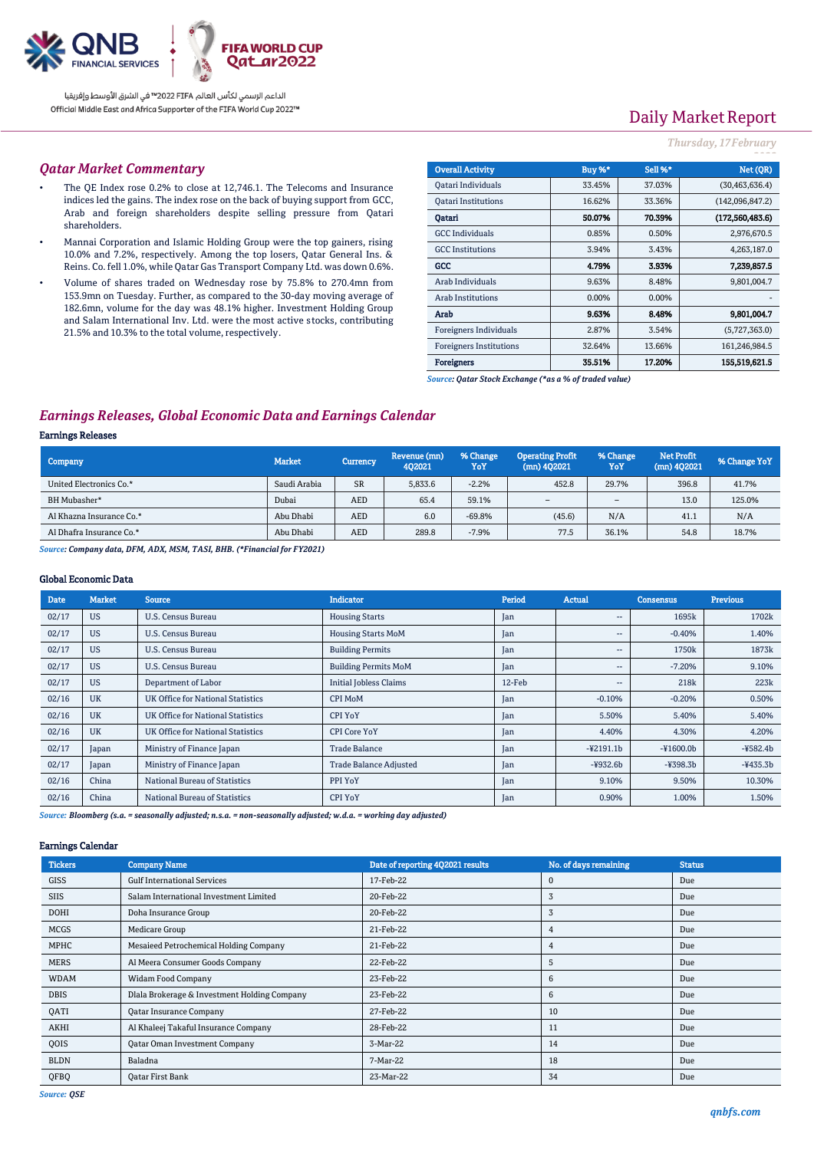

# Daily Market Report

### *Thursday, 17February*

#### *Qatar Market Commentary*

- The QE Index rose 0.2% to close at 12,746.1. The Telecoms and Insurance indices led the gains. The index rose on the back of buying support from GCC, Arab and foreign shareholders despite selling pressure from Qatari shareholders.
- Mannai Corporation and Islamic Holding Group were the top gainers, rising 10.0% and 7.2%, respectively. Among the top losers, Qatar General Ins. & Reins. Co. fell 1.0%, while Qatar Gas Transport Company Ltd. was down 0.6%.
- Volume of shares traded on Wednesday rose by 75.8% to 270.4mn from 153.9mn on Tuesday. Further, as compared to the 30-day moving average of 182.6mn, volume for the day was 48.1% higher. Investment Holding Group and Salam International Inv. Ltd. were the most active stocks, contributing 21.5% and 10.3% to the total volume, respectively.

| <b>Overall Activity</b>        | Buy %* | <b>Sell %*</b> | Net (QR)         |
|--------------------------------|--------|----------------|------------------|
| Qatari Individuals             | 33.45% | 37.03%         | (30, 463, 636.4) |
| <b>Oatari Institutions</b>     | 16.62% | 33.36%         | (142,096,847.2)  |
| Oatari                         | 50.07% | 70.39%         | (172.560.483.6)  |
| <b>GCC</b> Individuals         | 0.85%  | 0.50%          | 2,976,670.5      |
| <b>GCC</b> Institutions        | 3.94%  | 3.43%          | 4,263,187.0      |
| GCC                            | 4.79%  | 3.93%          | 7,239,857.5      |
| Arab Individuals               | 9.63%  | 8.48%          | 9,801,004.7      |
| <b>Arab Institutions</b>       | 0.00%  | 0.00%          |                  |
| Arab                           | 9.63%  | 8.48%          | 9,801,004.7      |
| Foreigners Individuals         | 2.87%  | 3.54%          | (5,727,363.0)    |
| <b>Foreigners Institutions</b> | 32.64% | 13.66%         | 161,246,984.5    |
| <b>Foreigners</b>              | 35.51% | 17.20%         | 155,519,621.5    |

*Source: Qatar Stock Exchange (\*as a % of traded value)*

## *Earnings Releases, Global Economic Data and Earnings Calendar*

#### Earnings Releases

| Company                  | <b>Market</b> | <b>Currency</b> | Revenue (mn)<br>402021 | % Change<br>YoY | <b>Operating Profit</b><br>$(mn)$ 402021 | % Change<br>YoY          | <b>Net Profit</b><br>$(mn)$ 402021 | % Change YoY |
|--------------------------|---------------|-----------------|------------------------|-----------------|------------------------------------------|--------------------------|------------------------------------|--------------|
| United Electronics Co.*  | Saudi Arabia  | <b>SR</b>       | 5.833.6                | $-2.2%$         | 452.8                                    | 29.7%                    | 396.8                              | 41.7%        |
| BH Mubasher*             | Dubai         | <b>AED</b>      | 65.4                   | 59.1%           | $\overline{\phantom{a}}$                 | $\overline{\phantom{a}}$ | 13.0                               | 125.0%       |
| Al Khazna Insurance Co.* | Abu Dhabi     | <b>AED</b>      | 6.0                    | $-69.8%$        | (45.6)                                   | N/A                      | 41.1                               | N/A          |
| Al Dhafra Insurance Co.* | Abu Dhabi     | <b>AED</b>      | 289.8                  | $-7.9%$         | 77.5                                     | 36.1%                    | 54.8                               | 18.7%        |

*Source: Company data, DFM, ADX, MSM, TASI, BHB. (\*Financial for FY2021)*

### Global Economic Data

| <b>Date</b> | <b>Market</b> | <b>Source</b>                     | <b>Indicator</b>              | Period | <b>Actual</b>            | Consensus        | <b>Previous</b> |
|-------------|---------------|-----------------------------------|-------------------------------|--------|--------------------------|------------------|-----------------|
| 02/17       | <b>US</b>     | <b>U.S. Census Bureau</b>         | <b>Housing Starts</b>         | Jan    | $\overline{\phantom{a}}$ | 1695k            | 1702k           |
| 02/17       | <b>US</b>     | U.S. Census Bureau                | <b>Housing Starts MoM</b>     | Jan    | $\overline{\phantom{a}}$ | $-0.40%$         | 1.40%           |
| 02/17       | <b>US</b>     | U.S. Census Bureau                | <b>Building Permits</b>       | Jan    | $\overline{\phantom{a}}$ | 1750k            | 1873k           |
| 02/17       | <b>US</b>     | U.S. Census Bureau                | <b>Building Permits MoM</b>   | Jan    | $\overline{\phantom{a}}$ | $-7.20%$         | 9.10%           |
| 02/17       | <b>US</b>     | Department of Labor               | <b>Initial Jobless Claims</b> | 12-Feb | $\overline{\phantom{a}}$ | 218 <sub>k</sub> | 223k            |
| 02/16       | <b>UK</b>     | UK Office for National Statistics | <b>CPI MoM</b>                | Jan    | $-0.10%$                 | $-0.20%$         | 0.50%           |
| 02/16       | <b>UK</b>     | UK Office for National Statistics | <b>CPI YoY</b>                | Jan    | 5.50%                    | 5.40%            | 5.40%           |
| 02/16       | <b>UK</b>     | UK Office for National Statistics | <b>CPI Core YoY</b>           | Jan    | 4.40%                    | 4.30%            | 4.20%           |
| 02/17       | Japan         | Ministry of Finance Japan         | <b>Trade Balance</b>          | Jan    | $-42191.1b$              | $-41600.0b$      | $-4582.4b$      |
| 02/17       | Japan         | Ministry of Finance Japan         | <b>Trade Balance Adjusted</b> | Jan    | $-4932.6b$               | $-4398.3b$       | $-435.3b$       |
| 02/16       | China         | National Bureau of Statistics     | PPI YoY                       | Jan    | 9.10%                    | 9.50%            | 10.30%          |
| 02/16       | China         | National Bureau of Statistics     | <b>CPI YoY</b>                | Jan    | 0.90%                    | 1.00%            | 1.50%           |

*Source: Bloomberg (s.a. = seasonally adjusted; n.s.a. = non-seasonally adjusted; w.d.a. = working day adjusted)*

#### Earnings Calendar

| <b>Tickers</b> | <b>Company Name</b>                          | Date of reporting 4Q2021 results | No. of days remaining | <b>Status</b> |
|----------------|----------------------------------------------|----------------------------------|-----------------------|---------------|
| <b>GISS</b>    | <b>Gulf International Services</b>           | 17-Feb-22                        | $\mathbf 0$           | Due           |
| <b>SIIS</b>    | Salam International Investment Limited       | 20-Feb-22                        | 3                     | Due           |
| <b>DOHI</b>    | Doha Insurance Group                         | 20-Feb-22                        | 3                     | Due           |
| <b>MCGS</b>    | Medicare Group                               | 21-Feb-22                        | 4                     | Due           |
| MPHC           | Mesaieed Petrochemical Holding Company       | 21-Feb-22                        | 4                     | Due           |
| <b>MERS</b>    | Al Meera Consumer Goods Company              | 22-Feb-22                        | 5                     | Due           |
| <b>WDAM</b>    | Widam Food Company                           | 23-Feb-22                        | 6                     | Due           |
| <b>DBIS</b>    | Dlala Brokerage & Investment Holding Company | 23-Feb-22                        | 6                     | Due           |
| QATI           | Qatar Insurance Company                      | 27-Feb-22                        | 10                    | Due           |
| AKHI           | Al Khaleej Takaful Insurance Company         | 28-Feb-22                        | 11                    | Due           |
| QOIS           | <b>Qatar Oman Investment Company</b>         | 3-Mar-22                         | 14                    | Due           |
| <b>BLDN</b>    | Baladna                                      | 7-Mar-22                         | 18                    | Due           |
| QFBQ           | <b>Qatar First Bank</b>                      | 23-Mar-22                        | 34                    | Due           |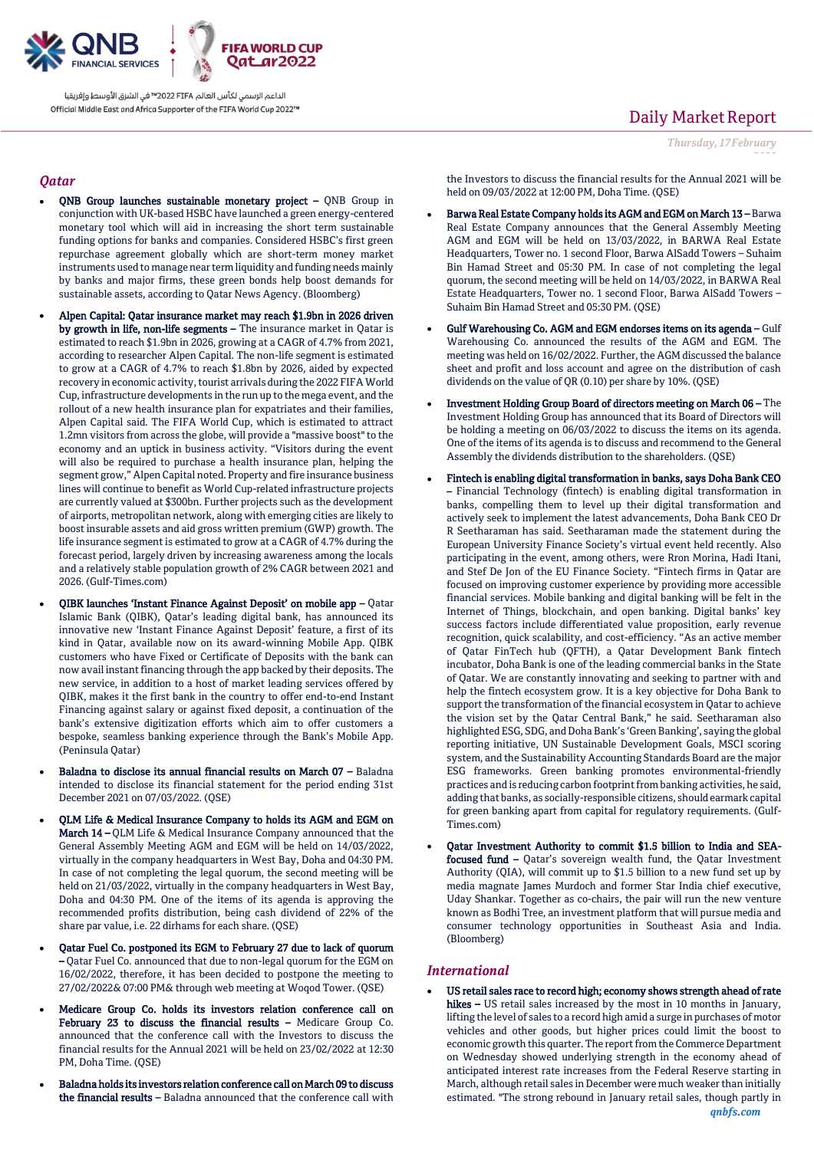

### *Qatar*

- QNB Group launches sustainable monetary project QNB Group in conjunction with UK-based HSBC have launched a green energy-centered monetary tool which will aid in increasing the short term sustainable funding options for banks and companies. Considered HSBC's first green repurchase agreement globally which are short-term money market instruments used to manage near term liquidity and funding needs mainly by banks and major firms, these green bonds help boost demands for sustainable assets, according to Qatar News Agency. (Bloomberg)
- Alpen Capital: Qatar insurance market may reach \$1.9bn in 2026 driven by growth in life, non-life segments – The insurance market in Qatar is estimated to reach \$1.9bn in 2026, growing at a CAGR of 4.7% from 2021, according to researcher Alpen Capital. The non-life segment is estimated to grow at a CAGR of 4.7% to reach \$1.8bn by 2026, aided by expected recovery in economic activity, tourist arrivals during the 2022 FIFA World Cup, infrastructure developments in the run up to the mega event, and the rollout of a new health insurance plan for expatriates and their families, Alpen Capital said. The FIFA World Cup, which is estimated to attract 1.2mn visitors from across the globe, will provide a "massive boost" to the economy and an uptick in business activity. "Visitors during the event will also be required to purchase a health insurance plan, helping the segment grow," Alpen Capital noted. Property and fire insurance business lines will continue to benefit as World Cup-related infrastructure projects are currently valued at \$300bn. Further projects such as the development of airports, metropolitan network, along with emerging cities are likely to boost insurable assets and aid gross written premium (GWP) growth. The life insurance segment is estimated to grow at a CAGR of 4.7% during the forecast period, largely driven by increasing awareness among the locals and a relatively stable population growth of 2% CAGR between 2021 and 2026. (Gulf-Times.com)
- QIBK launches 'Instant Finance Against Deposit' on mobile app Qatar Islamic Bank (QIBK), Qatar's leading digital bank, has announced its innovative new 'Instant Finance Against Deposit' feature, a first of its kind in Qatar, available now on its award-winning Mobile App. QIBK customers who have Fixed or Certificate of Deposits with the bank can now avail instant financing through the app backed by their deposits. The new service, in addition to a host of market leading services offered by QIBK, makes it the first bank in the country to offer end-to-end Instant Financing against salary or against fixed deposit, a continuation of the bank's extensive digitization efforts which aim to offer customers a bespoke, seamless banking experience through the Bank's Mobile App. (Peninsula Qatar)
- Baladna to disclose its annual financial results on March 07 Baladna intended to disclose its financial statement for the period ending 31st December 2021 on 07/03/2022. (QSE)
- QLM Life & Medical Insurance Company to holds its AGM and EGM on March 14 – QLM Life & Medical Insurance Company announced that the General Assembly Meeting AGM and EGM will be held on 14/03/2022, virtually in the company headquarters in West Bay, Doha and 04:30 PM. In case of not completing the legal quorum, the second meeting will be held on 21/03/2022, virtually in the company headquarters in West Bay, Doha and 04:30 PM. One of the items of its agenda is approving the recommended profits distribution, being cash dividend of 22% of the share par value, i.e. 22 dirhams for each share. (QSE)
- Qatar Fuel Co. postponed its EGM to February 27 due to lack of quorum – Qatar Fuel Co. announced that due to non-legal quorum for the EGM on 16/02/2022, therefore, it has been decided to postpone the meeting to 27/02/2022& 07:00 PM& through web meeting at Woqod Tower. (QSE)
- Medicare Group Co. holds its investors relation conference call on February 23 to discuss the financial results – Medicare Group Co. announced that the conference call with the Investors to discuss the financial results for the Annual 2021 will be held on 23/02/2022 at 12:30 PM, Doha Time. (QSE)
- Baladna holds its investors relation conference call on March 09 to discuss the financial results – Baladna announced that the conference call with

# Daily Market Report

*Thursday, 17February*

*2022*

the Investors to discuss the financial results for the Annual 2021 will be held on 09/03/2022 at 12:00 PM, Doha Time. (QSE)

- Barwa Real Estate Company holds its AGM and EGM on March 13 Barwa Real Estate Company announces that the General Assembly Meeting AGM and EGM will be held on 13/03/2022, in BARWA Real Estate Headquarters, Tower no. 1 second Floor, Barwa AlSadd Towers – Suhaim Bin Hamad Street and 05:30 PM. In case of not completing the legal quorum, the second meeting will be held on 14/03/2022, in BARWA Real Estate Headquarters, Tower no. 1 second Floor, Barwa AlSadd Towers – Suhaim Bin Hamad Street and 05:30 PM. (QSE)
- Gulf Warehousing Co. AGM and EGM endorses items on its agenda Gulf Warehousing Co. announced the results of the AGM and EGM. The meeting was held on 16/02/2022. Further, the AGM discussed the balance sheet and profit and loss account and agree on the distribution of cash dividends on the value of QR (0.10) per share by 10%. (QSE)
- Investment Holding Group Board of directors meeting on March 06 The Investment Holding Group has announced that its Board of Directors will be holding a meeting on 06/03/2022 to discuss the items on its agenda. One of the items of its agenda is to discuss and recommend to the General Assembly the dividends distribution to the shareholders. (QSE)
- Fintech is enabling digital transformation in banks, says Doha Bank CEO – Financial Technology (fintech) is enabling digital transformation in banks, compelling them to level up their digital transformation and actively seek to implement the latest advancements, Doha Bank CEO Dr R Seetharaman has said. Seetharaman made the statement during the European University Finance Society's virtual event held recently. Also participating in the event, among others, were Rron Morina, Hadi Itani, and Stef De Jon of the EU Finance Society. "Fintech firms in Qatar are focused on improving customer experience by providing more accessible financial services. Mobile banking and digital banking will be felt in the Internet of Things, blockchain, and open banking. Digital banks' key success factors include differentiated value proposition, early revenue recognition, quick scalability, and cost-efficiency. "As an active member of Qatar FinTech hub (QFTH), a Qatar Development Bank fintech incubator, Doha Bank is one of the leading commercial banks in the State of Qatar. We are constantly innovating and seeking to partner with and help the fintech ecosystem grow. It is a key objective for Doha Bank to support the transformation of the financial ecosystem in Qatar to achieve the vision set by the Qatar Central Bank," he said. Seetharaman also highlighted ESG, SDG, and Doha Bank's 'Green Banking', saying the global reporting initiative, UN Sustainable Development Goals, MSCI scoring system, and the Sustainability Accounting Standards Board are the major ESG frameworks. Green banking promotes environmental-friendly practices and is reducing carbon footprint from banking activities, he said, adding that banks, as socially-responsible citizens, should earmark capital for green banking apart from capital for regulatory requirements. (Gulf-Times.com)
- Qatar Investment Authority to commit \$1.5 billion to India and SEAfocused fund – Qatar's sovereign wealth fund, the Qatar Investment Authority (QIA), will commit up to \$1.5 billion to a new fund set up by media magnate James Murdoch and former Star India chief executive, Uday Shankar. Together as co-chairs, the pair will run the new venture known as Bodhi Tree, an investment platform that will pursue media and consumer technology opportunities in Southeast Asia and India. (Bloomberg)

### *International*

 US retail sales race to record high; economy shows strength ahead of rate hikes – US retail sales increased by the most in 10 months in January, lifting the level of sales to a record high amid a surge in purchases of motor vehicles and other goods, but higher prices could limit the boost to economic growth this quarter. The report from the Commerce Department on Wednesday showed underlying strength in the economy ahead of anticipated interest rate increases from the Federal Reserve starting in March, although retail sales in December were much weaker than initially estimated. "The strong rebound in January retail sales, though partly in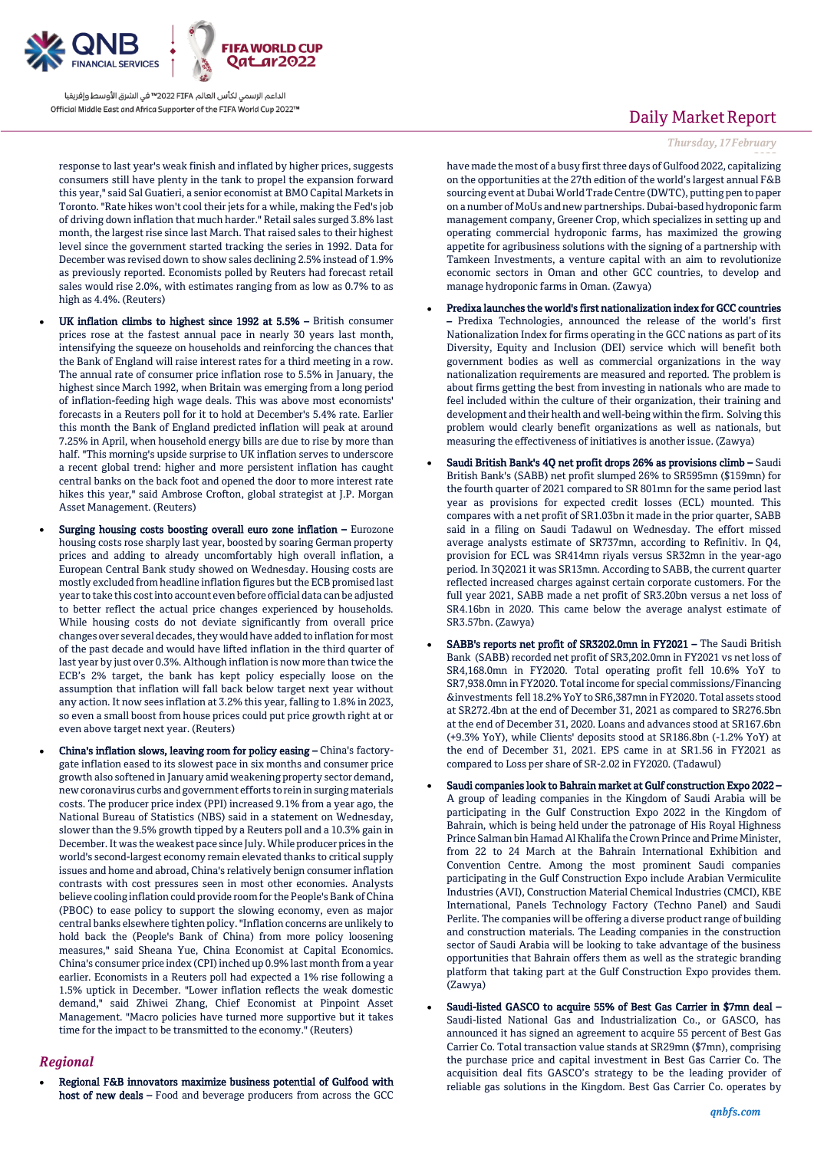

response to last year's weak finish and inflated by higher prices, suggests consumers still have plenty in the tank to propel the expansion forward this year," said Sal Guatieri, a senior economist at BMO Capital Markets in Toronto. "Rate hikes won't cool their jets for a while, making the Fed's job of driving down inflation that much harder." Retail sales surged 3.8% last month, the largest rise since last March. That raised sales to their highest level since the government started tracking the series in 1992. Data for December was revised down to show sales declining 2.5% instead of 1.9% as previously reported. Economists polled by Reuters had forecast retail sales would rise 2.0%, with estimates ranging from as low as 0.7% to as high as 4.4%. (Reuters)

- UK inflation climbs to highest since 1992 at 5.5% British consumer prices rose at the fastest annual pace in nearly 30 years last month, intensifying the squeeze on households and reinforcing the chances that the Bank of England will raise interest rates for a third meeting in a row. The annual rate of consumer price inflation rose to 5.5% in January, the highest since March 1992, when Britain was emerging from a long period of inflation-feeding high wage deals. This was above most economists' forecasts in a Reuters poll for it to hold at December's 5.4% rate. Earlier this month the Bank of England predicted inflation will peak at around 7.25% in April, when household energy bills are due to rise by more than half. "This morning's upside surprise to UK inflation serves to underscore a recent global trend: higher and more persistent inflation has caught central banks on the back foot and opened the door to more interest rate hikes this year," said Ambrose Crofton, global strategist at J.P. Morgan Asset Management. (Reuters)
- Surging housing costs boosting overall euro zone inflation Eurozone housing costs rose sharply last year, boosted by soaring German property prices and adding to already uncomfortably high overall inflation, a European Central Bank study showed on Wednesday. Housing costs are mostly excluded from headline inflation figures but the ECB promised last year to take this cost into account even before official data can be adjusted to better reflect the actual price changes experienced by households. While housing costs do not deviate significantly from overall price changes over several decades, they would have added to inflation for most of the past decade and would have lifted inflation in the third quarter of last year by just over 0.3%. Although inflation is now more than twice the ECB's 2% target, the bank has kept policy especially loose on the assumption that inflation will fall back below target next year without any action. It now sees inflation at 3.2% this year, falling to 1.8% in 2023, so even a small boost from house prices could put price growth right at or even above target next year. (Reuters)
- China's inflation slows, leaving room for policy easing China's factorygate inflation eased to its slowest pace in six months and consumer price growth also softened in January amid weakening property sector demand, new coronavirus curbs and government efforts to rein in surging materials costs. The producer price index (PPI) increased 9.1% from a year ago, the National Bureau of Statistics (NBS) said in a statement on Wednesday, slower than the 9.5% growth tipped by a Reuters poll and a 10.3% gain in December. It was the weakest pace since July. While producer prices in the world's second-largest economy remain elevated thanks to critical supply issues and home and abroad, China's relatively benign consumer inflation contrasts with cost pressures seen in most other economies. Analysts believe cooling inflation could provide room for the People's Bank of China (PBOC) to ease policy to support the slowing economy, even as major central banks elsewhere tighten policy. "Inflation concerns are unlikely to hold back the (People's Bank of China) from more policy loosening measures," said Sheana Yue, China Economist at Capital Economics. China's consumer price index (CPI) inched up 0.9% last month from a year earlier. Economists in a Reuters poll had expected a 1% rise following a 1.5% uptick in December. "Lower inflation reflects the weak domestic demand," said Zhiwei Zhang, Chief Economist at Pinpoint Asset Management. "Macro policies have turned more supportive but it takes time for the impact to be transmitted to the economy." (Reuters)

### *Regional*

 Regional F&B innovators maximize business potential of Gulfood with host of new deals - Food and beverage producers from across the GCC

# Daily Market Report

### *Thursday, 17February*

*2022* have made the most of a busy first three days of Gulfood 2022, capitalizing on the opportunities at the 27th edition of the world's largest annual F&B sourcing event at Dubai World Trade Centre (DWTC), putting pen to paper on a number of MoUs and new partnerships. Dubai-based hydroponic farm management company, Greener Crop, which specializes in setting up and operating commercial hydroponic farms, has maximized the growing appetite for agribusiness solutions with the signing of a partnership with Tamkeen Investments, a venture capital with an aim to revolutionize economic sectors in Oman and other GCC countries, to develop and manage hydroponic farms in Oman. (Zawya)

- Predixa launches the world's first nationalization index for GCC countries – Predixa Technologies, announced the release of the world's first Nationalization Index for firms operating in the GCC nations as part of its Diversity, Equity and Inclusion (DEI) service which will benefit both government bodies as well as commercial organizations in the way nationalization requirements are measured and reported. The problem is about firms getting the best from investing in nationals who are made to feel included within the culture of their organization, their training and development and their health and well-being within the firm. Solving this problem would clearly benefit organizations as well as nationals, but measuring the effectiveness of initiatives is another issue. (Zawya)
- Saudi British Bank's 4Q net profit drops 26% as provisions climb Saudi British Bank's (SABB) net profit slumped 26% to SR595mn (\$159mn) for the fourth quarter of 2021 compared to SR 801mn for the same period last year as provisions for expected credit losses (ECL) mounted. This compares with a net profit of SR1.03bn it made in the prior quarter, SABB said in a filing on Saudi Tadawul on Wednesday. The effort missed average analysts estimate of SR737mn, according to Refinitiv. In Q4, provision for ECL was SR414mn riyals versus SR32mn in the year-ago period. In 3Q2021 it was SR13mn. According to SABB, the current quarter reflected increased charges against certain corporate customers. For the full year 2021, SABB made a net profit of SR3.20bn versus a net loss of SR4.16bn in 2020. This came below the average analyst estimate of SR3.57bn. (Zawya)
- SABB's reports net profit of SR3202.0mn in FY2021 The Saudi British Bank (SABB) recorded net profit of SR3,202.0mn in FY2021 vs net loss of SR4,168.0mn in FY2020. Total operating profit fell 10.6% YoY to SR7,938.0mn in FY2020. Total income for special commissions/Financing &investments fell 18.2% YoY to SR6,387mn in FY2020. Total assets stood at SR272.4bn at the end of December 31, 2021 as compared to SR276.5bn at the end of December 31, 2020. Loans and advances stood at SR167.6bn (+9.3% YoY), while Clients' deposits stood at SR186.8bn (-1.2% YoY) at the end of December 31, 2021. EPS came in at SR1.56 in FY2021 as compared to Loss per share of SR-2.02 in FY2020. (Tadawul)
- Saudi companies look to Bahrain market at Gulf construction Expo 2022 A group of leading companies in the Kingdom of Saudi Arabia will be participating in the Gulf Construction Expo 2022 in the Kingdom of Bahrain, which is being held under the patronage of His Royal Highness Prince Salman bin Hamad Al Khalifa the Crown Prince and Prime Minister, from 22 to 24 March at the Bahrain International Exhibition and Convention Centre. Among the most prominent Saudi companies participating in the Gulf Construction Expo include Arabian Vermiculite Industries (AVI), Construction Material Chemical Industries (CMCI), KBE International, Panels Technology Factory (Techno Panel) and Saudi Perlite. The companies will be offering a diverse product range of building and construction materials. The Leading companies in the construction sector of Saudi Arabia will be looking to take advantage of the business opportunities that Bahrain offers them as well as the strategic branding platform that taking part at the Gulf Construction Expo provides them. (Zawya)
- Saudi-listed GASCO to acquire 55% of Best Gas Carrier in \$7mn deal Saudi-listed National Gas and Industrialization Co., or GASCO, has announced it has signed an agreement to acquire 55 percent of Best Gas Carrier Co. Total transaction value stands at SR29mn (\$7mn), comprising the purchase price and capital investment in Best Gas Carrier Co. The acquisition deal fits GASCO's strategy to be the leading provider of reliable gas solutions in the Kingdom. Best Gas Carrier Co. operates by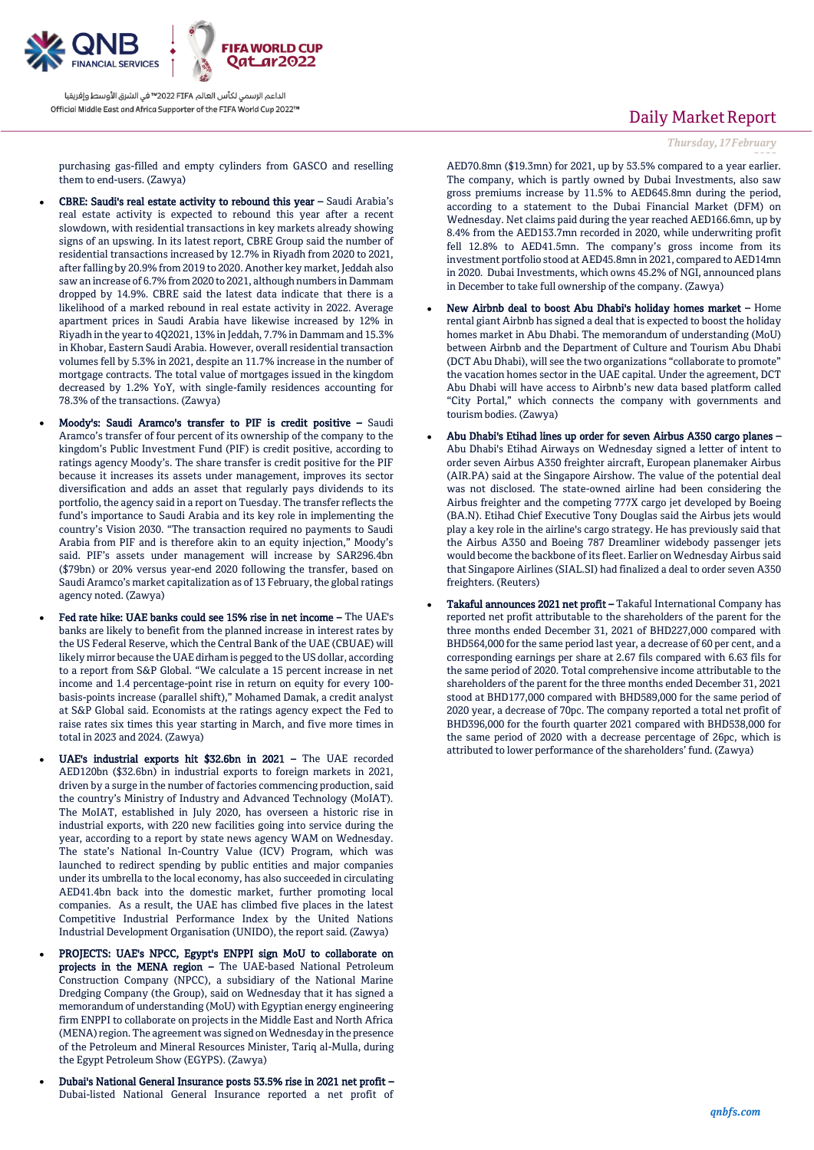

purchasing gas-filled and empty cylinders from GASCO and reselling them to end-users. (Zawya)

- CBRE: Saudi's real estate activity to rebound this year Saudi Arabia's real estate activity is expected to rebound this year after a recent slowdown, with residential transactions in key markets already showing signs of an upswing. In its latest report, CBRE Group said the number of residential transactions increased by 12.7% in Riyadh from 2020 to 2021, after falling by 20.9% from 2019 to 2020. Another key market, Jeddah also saw an increase of 6.7% from 2020 to 2021, although numbers in Dammam dropped by 14.9%. CBRE said the latest data indicate that there is a likelihood of a marked rebound in real estate activity in 2022. Average apartment prices in Saudi Arabia have likewise increased by 12% in Riyadh in the year to 4Q2021, 13% in Jeddah, 7.7% in Dammam and 15.3% in Khobar, Eastern Saudi Arabia. However, overall residential transaction volumes fell by 5.3% in 2021, despite an 11.7% increase in the number of mortgage contracts. The total value of mortgages issued in the kingdom decreased by 1.2% YoY, with single-family residences accounting for 78.3% of the transactions. (Zawya)
- Moody's: Saudi Aramco's transfer to PIF is credit positive Saudi Aramco's transfer of four percent of its ownership of the company to the kingdom's Public Investment Fund (PIF) is credit positive, according to ratings agency Moody's. The share transfer is credit positive for the PIF because it increases its assets under management, improves its sector diversification and adds an asset that regularly pays dividends to its portfolio, the agency said in a report on Tuesday. The transfer reflects the fund's importance to Saudi Arabia and its key role in implementing the country's Vision 2030. "The transaction required no payments to Saudi Arabia from PIF and is therefore akin to an equity injection," Moody's said. PIF's assets under management will increase by SAR296.4bn (\$79bn) or 20% versus year-end 2020 following the transfer, based on Saudi Aramco's market capitalization as of 13 February, the global ratings agency noted. (Zawya)
- Fed rate hike: UAE banks could see 15% rise in net income The UAE's banks are likely to benefit from the planned increase in interest rates by the US Federal Reserve, which the Central Bank of the UAE (CBUAE) will likely mirror because the UAE dirham is pegged to the US dollar, according to a report from S&P Global. "We calculate a 15 percent increase in net income and 1.4 percentage-point rise in return on equity for every 100 basis-points increase (parallel shift)," Mohamed Damak, a credit analyst at S&P Global said. Economists at the ratings agency expect the Fed to raise rates six times this year starting in March, and five more times in total in 2023 and 2024. (Zawya)
- UAE's industrial exports hit \$32.6bn in 2021 The UAE recorded AED120bn (\$32.6bn) in industrial exports to foreign markets in 2021, driven by a surge in the number of factories commencing production, said the country's Ministry of Industry and Advanced Technology (MoIAT). The MoIAT, established in July 2020, has overseen a historic rise in industrial exports, with 220 new facilities going into service during the year, according to a report by state news agency WAM on Wednesday. The state's National In-Country Value (ICV) Program, which was launched to redirect spending by public entities and major companies under its umbrella to the local economy, has also succeeded in circulating AED41.4bn back into the domestic market, further promoting local companies. As a result, the UAE has climbed five places in the latest Competitive Industrial Performance Index by the United Nations Industrial Development Organisation (UNIDO), the report said. (Zawya)
- PROJECTS: UAE's NPCC, Egypt's ENPPI sign MoU to collaborate on projects in the MENA region – The UAE-based National Petroleum Construction Company (NPCC), a subsidiary of the National Marine Dredging Company (the Group), said on Wednesday that it has signed a memorandum of understanding (MoU) with Egyptian energy engineering firm ENPPI to collaborate on projects in the Middle East and North Africa (MENA) region. The agreement was signed on Wednesday in the presence of the Petroleum and Mineral Resources Minister, Tariq al-Mulla, during the Egypt Petroleum Show (EGYPS). (Zawya)
- Dubai's National General Insurance posts 53.5% rise in 2021 net profit Dubai-listed National General Insurance reported a net profit of

# Daily Market Report

*Thursday, 17February*

*2022* AED70.8mn (\$19.3mn) for 2021, up by 53.5% compared to a year earlier. The company, which is partly owned by Dubai Investments, also saw gross premiums increase by 11.5% to AED645.8mn during the period, according to a statement to the Dubai Financial Market (DFM) on Wednesday. Net claims paid during the year reached AED166.6mn, up by 8.4% from the AED153.7mn recorded in 2020, while underwriting profit fell 12.8% to AED41.5mn. The company's gross income from its investment portfolio stood at AED45.8mn in 2021, compared to AED14mn in 2020. Dubai Investments, which owns 45.2% of NGI, announced plans in December to take full ownership of the company. (Zawya)

- New Airbnb deal to boost Abu Dhabi's holiday homes market Home rental giant Airbnb has signed a deal that is expected to boost the holiday homes market in Abu Dhabi. The memorandum of understanding (MoU) between Airbnb and the Department of Culture and Tourism Abu Dhabi (DCT Abu Dhabi), will see the two organizations "collaborate to promote" the vacation homes sector in the UAE capital. Under the agreement, DCT Abu Dhabi will have access to Airbnb's new data based platform called "City Portal," which connects the company with governments and tourism bodies. (Zawya)
- Abu Dhabi's Etihad lines up order for seven Airbus A350 cargo planes Abu Dhabi's Etihad Airways on Wednesday signed a letter of intent to order seven Airbus A350 freighter aircraft, European planemaker Airbus (AIR.PA) said at the Singapore Airshow. The value of the potential deal was not disclosed. The state-owned airline had been considering the Airbus freighter and the competing 777X cargo jet developed by Boeing (BA.N). Etihad Chief Executive Tony Douglas said the Airbus jets would play a key role in the airline's cargo strategy. He has previously said that the Airbus A350 and Boeing 787 Dreamliner widebody passenger jets would become the backbone of its fleet. Earlier on Wednesday Airbus said that Singapore Airlines (SIAL.SI) had finalized a deal to order seven A350 freighters. (Reuters)
- Takaful announces 2021 net profit Takaful International Company has reported net profit attributable to the shareholders of the parent for the three months ended December 31, 2021 of BHD227,000 compared with BHD564,000 for the same period last year, a decrease of 60 per cent, and a corresponding earnings per share at 2.67 fils compared with 6.63 fils for the same period of 2020. Total comprehensive income attributable to the shareholders of the parent for the three months ended December 31, 2021 stood at BHD177,000 compared with BHD589,000 for the same period of 2020 year, a decrease of 70pc. The company reported a total net profit of BHD396,000 for the fourth quarter 2021 compared with BHD538,000 for the same period of 2020 with a decrease percentage of 26pc, which is attributed to lower performance of the shareholders' fund. (Zawya)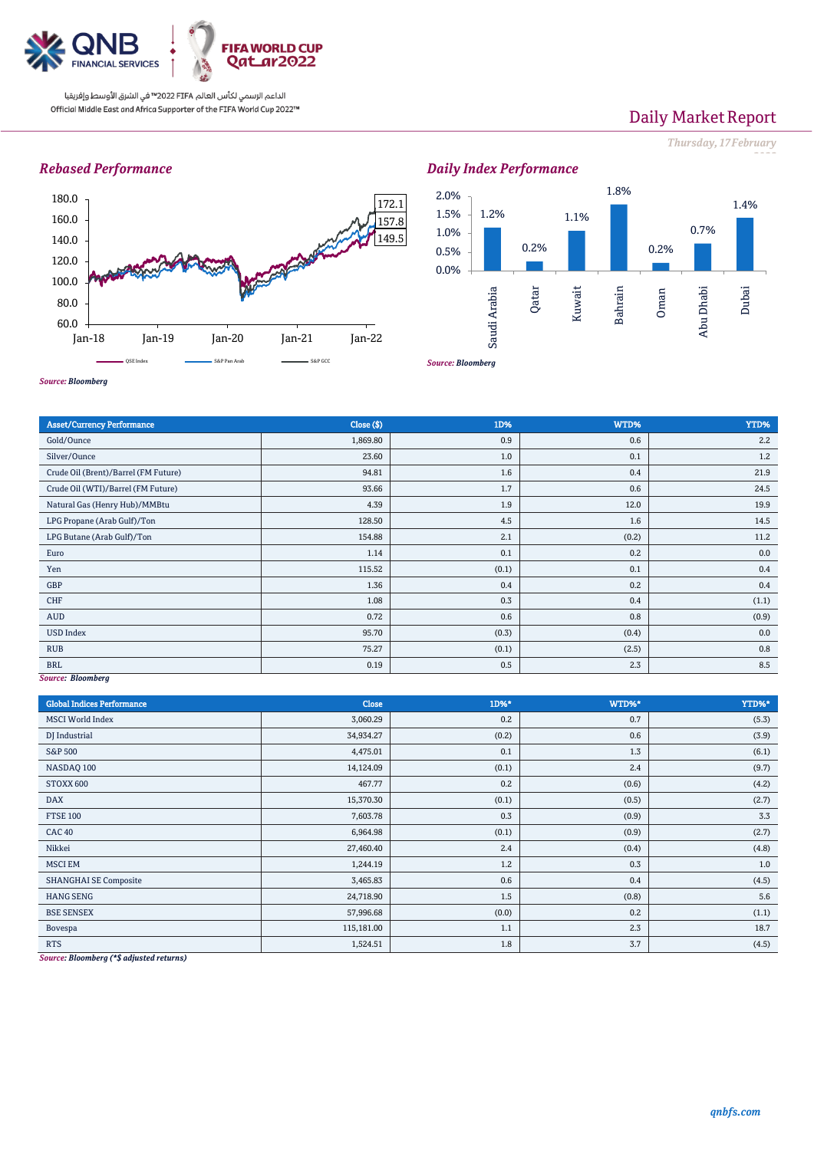

Jan-18 Jan-19 Jan-20 Jan-21 Jan-22 QSE Index **SAPPan Arab** S&P Pan Arab **SAP GCC** 

W

# Daily Market Report

## *Thursday, 17February*

*2022*





 $14C$ 

September 200

*Source: Bloomberg*



*Source: Bloomberg*

60.0 80.0 100.0 120.0 140.0 160.0 180.0

| <b>Asset/Currency Performance</b>    | Close (\$) | 1D%   | WTD%  | YTD%  |  |  |
|--------------------------------------|------------|-------|-------|-------|--|--|
| Gold/Ounce                           | 1,869.80   | 0.9   | 0.6   | 2.2   |  |  |
| Silver/Ounce                         | 23.60      | 1.0   | 0.1   | 1.2   |  |  |
| Crude Oil (Brent)/Barrel (FM Future) | 94.81      | 1.6   | 0.4   | 21.9  |  |  |
| Crude Oil (WTI)/Barrel (FM Future)   | 93.66      | 1.7   | 0.6   | 24.5  |  |  |
| Natural Gas (Henry Hub)/MMBtu        | 4.39       | 1.9   | 12.0  | 19.9  |  |  |
| LPG Propane (Arab Gulf)/Ton          | 128.50     | 4.5   | 1.6   | 14.5  |  |  |
| LPG Butane (Arab Gulf)/Ton           | 154.88     | 2.1   | (0.2) | 11.2  |  |  |
| Euro                                 | 1.14       | 0.1   | 0.2   | 0.0   |  |  |
| Yen                                  | 115.52     | (0.1) | 0.1   | 0.4   |  |  |
| GBP                                  | 1.36       | 0.4   | 0.2   | 0.4   |  |  |
| CHF                                  | 1.08       | 0.3   | 0.4   | (1.1) |  |  |
| AUD                                  | 0.72       | 0.6   | 0.8   | (0.9) |  |  |
| <b>USD Index</b>                     | 95.70      | (0.3) | (0.4) | 0.0   |  |  |
| <b>RUB</b>                           | 75.27      | (0.1) | (2.5) | 0.8   |  |  |
| <b>BRL</b>                           | 0.19       | 0.5   | 2.3   | 8.5   |  |  |
| Source: Bloomberg                    |            |       |       |       |  |  |

#### *Source: Bloomberg*

| <b>Global Indices Performance</b> | Close      | 1D%*  | WTD%* | YTD%* |
|-----------------------------------|------------|-------|-------|-------|
| <b>MSCI</b> World Index           | 3,060.29   | 0.2   | 0.7   | (5.3) |
| DJ Industrial                     | 34,934.27  | (0.2) | 0.6   | (3.9) |
| S&P 500                           | 4,475.01   | 0.1   | 1.3   | (6.1) |
| NASDAQ 100                        | 14,124.09  | (0.1) | 2.4   | (9.7) |
| STOXX 600                         | 467.77     | 0.2   | (0.6) | (4.2) |
| DAX                               | 15,370.30  | (0.1) | (0.5) | (2.7) |
| <b>FTSE 100</b>                   | 7,603.78   | 0.3   | (0.9) | 3.3   |
| CAC <sub>40</sub>                 | 6,964.98   | (0.1) | (0.9) | (2.7) |
| Nikkei                            | 27,460.40  | 2.4   | (0.4) | (4.8) |
| <b>MSCI EM</b>                    | 1,244.19   | 1.2   | 0.3   | 1.0   |
| <b>SHANGHAI SE Composite</b>      | 3,465.83   | 0.6   | 0.4   | (4.5) |
| <b>HANG SENG</b>                  | 24,718.90  | 1.5   | (0.8) | 5.6   |
| <b>BSE SENSEX</b>                 | 57,996.68  | (0.0) | 0.2   | (1.1) |
| Bovespa                           | 115,181.00 | 1.1   | 2.3   | 18.7  |
| <b>RTS</b>                        | 1,524.51   | 1.8   | 3.7   | (4.5) |

*Source: Bloomberg (\*\$ adjusted returns)*